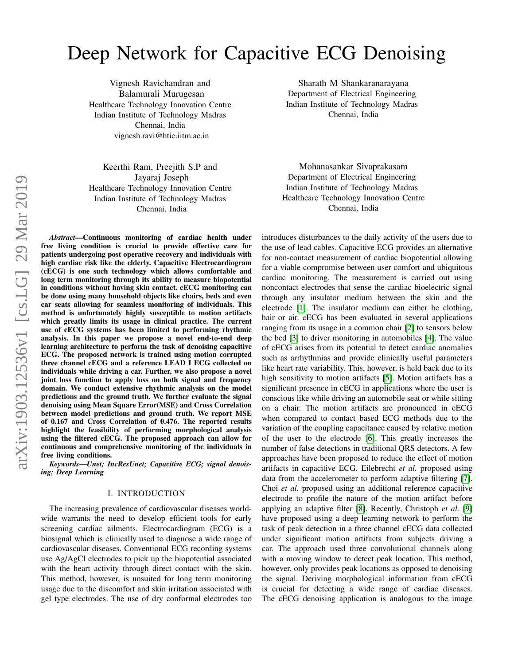# Deep Network for Capacitive ECG Denoising

Vignesh Ravichandran and Balamurali Murugesan Healthcare Technology Innovation Centre Indian Institute of Technology Madras Chennai, India vignesh.ravi@htic.iitm.ac.in

Keerthi Ram, Preejith S.P and Jayaraj Joseph Healthcare Technology Innovation Centre Indian Institute of Technology Madras Chennai, India

arXiv:1903.12536v1 [cs.LG] 29 Mar 2019 arXiv:1903.12536v1 [cs.LG] 29 Mar 2019

*Abstract*—Continuous monitoring of cardiac health under free living condition is crucial to provide effective care for patients undergoing post operative recovery and individuals with high cardiac risk like the elderly. Capacitive Electrocardiogram (cECG) is one such technology which allows comfortable and long term monitoring through its ability to measure biopotential in conditions without having skin contact. cECG monitoring can be done using many household objects like chairs, beds and even car seats allowing for seamless monitoring of individuals. This method is unfortunately highly susceptible to motion artifacts which greatly limits its usage in clinical practice. The current use of cECG systems has been limited to performing rhythmic analysis. In this paper we propose a novel end-to-end deep learning architecture to perform the task of denoising capacitive ECG. The proposed network is trained using motion corrupted three channel cECG and a reference LEAD I ECG collected on individuals while driving a car. Further, we also propose a novel joint loss function to apply loss on both signal and frequency domain. We conduct extensive rhythmic analysis on the model predictions and the ground truth. We further evaluate the signal denoising using Mean Square Error(MSE) and Cross Correlation between model predictions and ground truth. We report MSE of 0.167 and Cross Correlation of 0.476. The reported results highlight the feasibility of performing morphological analysis using the filtered cECG. The proposed approach can allow for continuous and comprehensive monitoring of the individuals in free living conditions.

*Keywords*—*Unet; IncResUnet; Capacitive ECG; signal denoising; Deep Learning*

## I. INTRODUCTION

The increasing prevalence of cardiovascular diseases worldwide warrants the need to develop efficient tools for early screening cardiac ailments. Electrocardiogram (ECG) is a biosignal which is clinically used to diagnose a wide range of cardiovascular diseases. Conventional ECG recording systems use Ag/AgCl electrodes to pick up the biopotential associated with the heart activity through direct contact with the skin. This method, however, is unsuited for long term monitoring usage due to the discomfort and skin irritation associated with gel type electrodes. The use of dry conformal electrodes too

Sharath M Shankaranarayana Department of Electrical Engineering Indian Institute of Technology Madras Chennai, India

Mohanasankar Sivaprakasam Department of Electrical Engineering Indian Institute of Technology Madras Healthcare Technology Innovation Centre Chennai, India

introduces disturbances to the daily activity of the users due to the use of lead cables. Capacitive ECG provides an alternative for non-contact measurement of cardiac biopotential allowing for a viable compromise between user comfort and ubiquitous cardiac monitoring. The measurement is carried out using noncontact electrodes that sense the cardiac bioelectric signal through any insulator medium between the skin and the electrode [\[1\]](#page-4-0). The insulator medium can either be clothing, hair or air. cECG has been evaluated in several applications ranging from its usage in a common chair [\[2\]](#page-4-1) to sensors below the bed [\[3\]](#page-4-2) to driver monitoring in automobiles [\[4\]](#page-4-3). The value of cECG arises from its potential to detect cardiac anomalies such as arrhythmias and provide clinically useful parameters like heart rate variability. This, however, is held back due to its high sensitivity to motion artifacts [\[5\]](#page-4-4). Motion artifacts has a significant presence in cECG in applications where the user is conscious like while driving an automobile seat or while sitting on a chair. The motion artifacts are pronounced in cECG when compared to contact based ECG methods due to the variation of the coupling capacitance caused by relative motion of the user to the electrode [\[6\]](#page-4-5). This greatly increases the number of false detections in traditional QRS detectors. A few approaches have been proposed to reduce the effect of motion artifacts in capacitive ECG. Eilebrecht *et al.* proposed using data from the accelerometer to perform adaptive filtering [\[7\]](#page-4-6). Choi *et al.* proposed using an additional reference capacitive electrode to profile the nature of the motion artifact before applying an adaptive filter [\[8\]](#page-4-7). Recently, Christoph *et al.* [\[9\]](#page-4-8) have proposed using a deep learning network to perform the task of peak detection in a three channel cECG data collected under significant motion artifacts from subjects driving a car. The approach used three convolutional channels along with a moving window to detect peak location. This method, however, only provides peak locations as opposed to denoising the signal. Deriving morphological information from cECG is crucial for detecting a wide range of cardiac diseases. The cECG denoising application is analogous to the image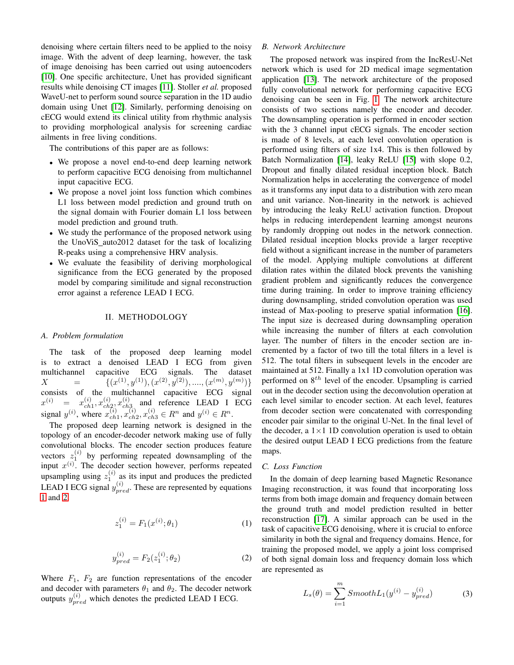denoising where certain filters need to be applied to the noisy image. With the advent of deep learning, however, the task of image denoising has been carried out using autoencoders [\[10\]](#page-4-9). One specific architecture, Unet has provided significant results while denoising CT images [\[11\]](#page-4-10). Stoller *et al.* proposed WaveU-net to perform sound source separation in the 1D audio domain using Unet [\[12\]](#page-5-0). Similarly, performing denoising on cECG would extend its clinical utility from rhythmic analysis to providing morphological analysis for screening cardiac ailments in free living conditions.

The contributions of this paper are as follows:

- We propose a novel end-to-end deep learning network to perform capacitive ECG denoising from multichannel input capacitive ECG.
- We propose a novel joint loss function which combines L1 loss between model prediction and ground truth on the signal domain with Fourier domain L1 loss between model prediction and ground truth.
- We study the performance of the proposed network using the UnoViS auto2012 dataset for the task of localizing R-peaks using a comprehensive HRV analysis.
- We evaluate the feasibility of deriving morphological significance from the ECG generated by the proposed model by comparing similitude and signal reconstruction error against a reference LEAD I ECG.

## II. METHODOLOGY

#### *A. Problem formulation*

The task of the proposed deep learning model is to extract a denoised LEAD I ECG from given multichannel capacitive ECG signals. The dataset  $X = \{ (x^{(1)}, y^{(1)}), (x^{(2)}, y^{(2)}), \dots, (x^{(m)}, y^{(m)}) \}$ consists of the multichannel capacitive ECG signal  $x^{(i)} = x^{(i)}_{ch}$  $_{ch1}^{\left( i\right) },x_{ch}^{\left( i\right) }$  $\overset{(i)}{ch_{2}}\overset{(i)}{x}_{ch}$  $\begin{bmatrix} a_1 \\ c_2 \\ c_3 \end{bmatrix}$  and reference LEAD I ECG signal  $y^{(i)}$ , where  $x_{ch}^{(i)}$  $\bar{c}_{ch1}^{(i)}, x_{ch2}^{(i)}$  $c_{ch2}^{(i)}, x_{ch3}^{(i)} \in R^n$  and  $y^{(i)} \in R^n$ .

The proposed deep learning network is designed in the topology of an encoder-decoder network making use of fully convolutional blocks. The encoder section produces feature vectors  $z_1^{(i)}$  by performing repeated downsampling of the input  $x^{(i)}$ . The decoder section however, performs repeated upsampling using  $z_1^{(i)}$  as its input and produces the predicted LEAD I ECG signal  $y_{pred}^{(i)}$ . These are represented by equations [1](#page-1-0) and [2.](#page-1-1)

$$
z_1^{(i)} = F_1(x^{(i)}; \theta_1) \tag{1}
$$

$$
y_{pred}^{(i)} = F_2(z_1^{(i)}; \theta_2)
$$
 (2)

<span id="page-1-1"></span><span id="page-1-0"></span>Where  $F_1$ ,  $F_2$  are function representations of the encoder and decoder with parameters  $\theta_1$  and  $\theta_2$ . The decoder network outputs  $y_{pred}^{(i)}$  which denotes the predicted LEAD I ECG.

# *B. Network Architecture*

The proposed network was inspired from the IncResU-Net network which is used for 2D medical image segmentation application [\[13\]](#page-5-1). The network architecture of the proposed fully convolutional network for performing capacitive ECG denoising can be seen in Fig. [1.](#page-2-0) The network architecture consists of two sections namely the encoder and decoder. The downsampling operation is performed in encoder section with the 3 channel input cECG signals. The encoder section is made of 8 levels, at each level convolution operation is performed using filters of size 1x4. This is then followed by Batch Normalization [\[14\]](#page-5-2), leaky ReLU [\[15\]](#page-5-3) with slope 0.2, Dropout and finally dilated residual inception block. Batch Normalization helps in accelerating the convergence of model as it transforms any input data to a distribution with zero mean and unit variance. Non-linearity in the network is achieved by introducing the leaky ReLU activation function. Dropout helps in reducing interdependent learning amongst neurons by randomly dropping out nodes in the network connection. Dilated residual inception blocks provide a larger receptive field without a significant increase in the number of parameters of the model. Applying multiple convolutions at different dilation rates within the dilated block prevents the vanishing gradient problem and significantly reduces the convergence time during training. In order to improve training efficiency during downsampling, strided convolution operation was used instead of Max-pooling to preserve spatial information [\[16\]](#page-5-4). The input size is decreased during downsampling operation while increasing the number of filters at each convolution layer. The number of filters in the encoder section are incremented by a factor of two till the total filters in a level is 512. The total filters in subsequent levels in the encoder are maintained at 512. Finally a 1x1 1D convolution operation was performed on  $8^{th}$  level of the encoder. Upsampling is carried out in the decoder section using the deconvolution operation at each level similar to encoder section. At each level, features from decoder section were concatenated with corresponding encoder pair similar to the original U-Net. In the final level of the decoder, a  $1 \times 1$  1D convolution operation is used to obtain the desired output LEAD I ECG predictions from the feature maps.

## *C. Loss Function*

In the domain of deep learning based Magnetic Resonance Imaging reconstruction, it was found that incorporating loss terms from both image domain and frequency domain between the ground truth and model prediction resulted in better reconstruction [\[17\]](#page-5-5). A similar approach can be used in the task of capacitive ECG denoising, where it is crucial to enforce similarity in both the signal and frequency domains. Hence, for training the proposed model, we apply a joint loss comprised of both signal domain loss and frequency domain loss which are represented as

$$
L_s(\theta) = \sum_{i=1}^{m} SmoothL_1(y^{(i)} - y_{pred}^{(i)})
$$
 (3)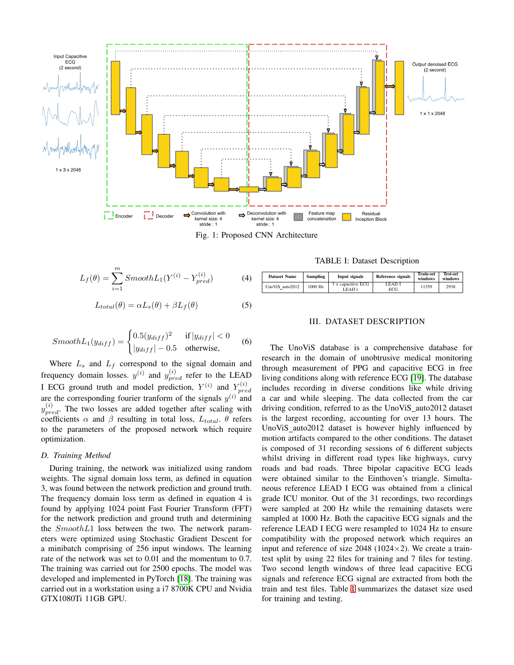<span id="page-2-0"></span>

Fig. 1: Proposed CNN Architecture

$$
L_f(\theta) = \sum_{i=1}^{m} SmoothL_1(Y^{(i)} - Y_{pred}^{(i)})
$$
 (4)

$$
L_{total}(\theta) = \alpha L_s(\theta) + \beta L_f(\theta)
$$
\n(5)

$$
SmoothL_1(y_{diff}) = \begin{cases} 0.5(y_{diff})^2 & \text{if } |y_{diff}| < 0\\ |y_{diff}| - 0.5 & \text{otherwise,} \end{cases}
$$
 (6)

Where  $L<sub>s</sub>$  and  $L<sub>f</sub>$  correspond to the signal domain and frequency domain losses.  $y^{(i)}$  and  $y^{(i)}_{pred}$  refer to the LEAD I ECG ground truth and model prediction,  $Y^{(i)}$  and  $Y_{nre}^{(i)}$  $_{pred}$ are the corresponding fourier tranform of the signals  $y^{(i)}$  and  $y_{pred}^{(i)}$ . The two losses are added together after scaling with coefficients  $\alpha$  and  $\beta$  resulting in total loss,  $L_{total}$ .  $\theta$  refers to the parameters of the proposed network which require optimization.

# *D. Training Method*

During training, the network was initialized using random weights. The signal domain loss term, as defined in equation 3, was found between the network prediction and ground truth. The frequency domain loss term as defined in equation 4 is found by applying 1024 point Fast Fourier Transform (FFT) for the network prediction and ground truth and determining the  $SmoothL1$  loss between the two. The network parameters were optimized using Stochastic Gradient Descent for a minibatch comprising of 256 input windows. The learning rate of the network was set to 0.01 and the momentum to 0.7. The training was carried out for 2500 epochs. The model was developed and implemented in PyTorch [\[18\]](#page-5-6). The training was carried out in a workstation using a i7 8700K CPU and Nvidia GTX1080Ti 11GB GPU.

TABLE I: Dataset Description

<span id="page-2-1"></span>

| <b>Dataset Name</b> | <b>Sampling</b> | Input signals                 | Reference signals | <b>Train-set</b><br>windows | <b>Test-set</b><br>windows |  |
|---------------------|-----------------|-------------------------------|-------------------|-----------------------------|----------------------------|--|
| UnoViS auto2012     | 1000 Hz         | 3 x capacitive ECG<br>' FAD's | LEAD I<br>ECG     | 11359                       | 2938                       |  |

# III. DATASET DESCRIPTION

The UnoViS database is a comprehensive database for research in the domain of unobtrusive medical monitoring through measurement of PPG and capacitive ECG in free living conditions along with reference ECG [\[19\]](#page-5-7). The database includes recording in diverse conditions like while driving a car and while sleeping. The data collected from the car driving condition, referred to as the UnoViS\_auto2012 dataset is the largest recording, accounting for over 13 hours. The UnoViS auto2012 dataset is however highly influenced by motion artifacts compared to the other conditions. The dataset is composed of 31 recording sessions of 6 different subjects whilst driving in different road types like highways, curvy roads and bad roads. Three bipolar capacitive ECG leads were obtained similar to the Einthoven's triangle. Simultaneous reference LEAD I ECG was obtained from a clinical grade ICU monitor. Out of the 31 recordings, two recordings were sampled at 200 Hz while the remaining datasets were sampled at 1000 Hz. Both the capacitive ECG signals and the reference LEAD I ECG were resampled to 1024 Hz to ensure compatibility with the proposed network which requires an input and reference of size 2048 (1024 $\times$ 2). We create a traintest split by using 22 files for training and 7 files for testing. Two second length windows of three lead capacitive ECG signals and reference ECG signal are extracted from both the train and test files. Table [I](#page-2-1) summarizes the dataset size used for training and testing.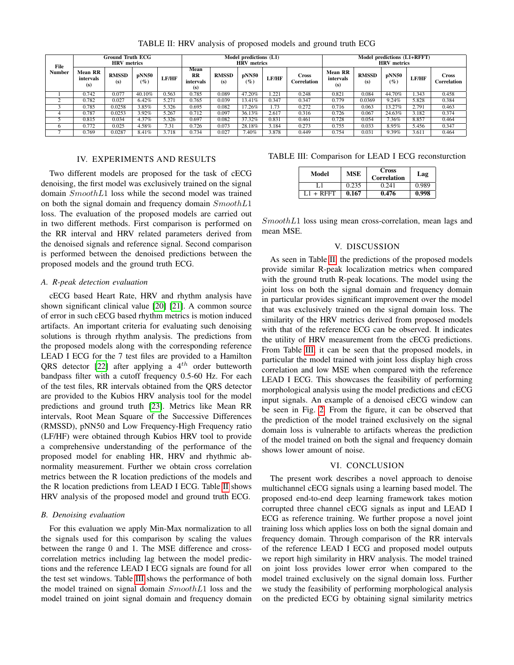<span id="page-3-0"></span>

| File          | Ground Truth ECG<br><b>HRV</b> metrics |                     |                 |              | Model predictions (L1)<br><b>HRV</b> metrics |                     |                 |              | Model predictions (L1+RFFT)<br><b>HRV</b> metrics |                                    |                     |                 |              |                             |
|---------------|----------------------------------------|---------------------|-----------------|--------------|----------------------------------------------|---------------------|-----------------|--------------|---------------------------------------------------|------------------------------------|---------------------|-----------------|--------------|-----------------------------|
| <b>Number</b> | Mean RR<br>intervals<br>(s)            | <b>RMSSD</b><br>(s) | pNN50<br>$(\%)$ | <b>LF/HF</b> | Mean<br><b>RR</b><br>intervals<br>(s)        | <b>RMSSD</b><br>(s) | pNN50<br>$(\%)$ | <b>LF/HF</b> | <b>Cross</b><br>Correlation                       | <b>Mean RR</b><br>intervals<br>(s) | <b>RMSSD</b><br>(s) | pNN50<br>$(\%)$ | <b>LF/HF</b> | <b>Cross</b><br>Correlation |
|               | 0.742                                  | 0.077               | 40.10%          | 0.563        | 0.785                                        | 0.089               | 47.20%          | 1.221        | 0.248                                             | 0.821                              | 0.084               | 44.70%          | .343         | 0.458                       |
|               | 0.782                                  | 0.027               | 6.42%           | 5.271        | 0.765                                        | 0.039               | 13.41%          | 0.347        | 0.347                                             | 0.779                              | 0.0369              | 9.24%           | 5.828        | 0.384                       |
|               | 0.785                                  | 0.0258              | 3.85%           | 5.326        | 0.695                                        | 0.082               | 17.26%          | 1.73         | 0.272                                             | 0.716                              | 0.063               | 13.27%          | 2.791        | 0.463                       |
| 4             | 0.787                                  | 0.0253              | 3.92%           | 5.267        | 0.712                                        | 0.097               | 36.13%          | 2.617        | 0.316                                             | 0.726                              | 0.067               | 24.63%          | 3.182        | 0.374                       |
|               | 0.815                                  | 0.034               | 4.37%           | 5.326        | 0.697                                        | 0.082               | 37.32%          | 0.831        | 0.461                                             | 0.728                              | 0.054               | 7.36%           | 8.857        | 0.464                       |
| <sub>6</sub>  | 0.772                                  | 0.025               | 4.58%           | 7.31         | 0.726                                        | 0.073               | 28.18%          | 3.184        | 0.273                                             | 0.755                              | 0.033               | 8.95%           | 5.456        | 0.347                       |
|               | 0.769                                  | 0.0287              | 8.41%           | 3.718        | 0.734                                        | 0.027               | $7.40\%$        | 3.878        | 0.449                                             | 0.754                              | 0.031               | $9.39\%$        | 3.611        | 0.464                       |

TABLE II: HRV analysis of proposed models and ground truth ECG

## IV. EXPERIMENTS AND RESULTS

Two different models are proposed for the task of cECG denoising, the first model was exclusively trained on the signal domain SmoothL1 loss while the second model was trained on both the signal domain and frequency domain  $SmoothL1$ loss. The evaluation of the proposed models are carried out in two different methods. First comparison is performed on the RR interval and HRV related parameters derived from the denoised signals and reference signal. Second comparison is performed between the denoised predictions between the proposed models and the ground truth ECG.

# *A. R-peak detection evaluation*

cECG based Heart Rate, HRV and rhythm analysis have shown significant clinical value [\[20\]](#page-5-8) [\[21\]](#page-5-9). A common source of error in such cECG based rhythm metrics is motion induced artifacts. An important criteria for evaluating such denoising solutions is through rhythm analysis. The predictions from the proposed models along with the corresponding reference LEAD I ECG for the 7 test files are provided to a Hamilton QRS detector [\[22\]](#page-5-10) after applying a  $4<sup>th</sup>$  order butteworth bandpass filter with a cutoff frequency 0.5-60 Hz. For each of the test files, RR intervals obtained from the QRS detector are provided to the Kubios HRV analysis tool for the model predictions and ground truth [\[23\]](#page-5-11). Metrics like Mean RR intervals, Root Mean Square of the Successive Differences (RMSSD), pNN50 and Low Frequency-High Frequency ratio (LF/HF) were obtained through Kubios HRV tool to provide a comprehensive understanding of the performance of the proposed model for enabling HR, HRV and rhythmic abnormality measurement. Further we obtain cross correlation metrics between the R location predictions of the models and the R location predictions from LEAD I ECG. Table [II](#page-3-0) shows HRV analysis of the proposed model and ground truth ECG.

#### *B. Denoising evaluation*

For this evaluation we apply Min-Max normalization to all the signals used for this comparison by scaling the values between the range 0 and 1. The MSE difference and crosscorrelation metrics including lag between the model predictions and the reference LEAD I ECG signals are found for all the test set windows. Table [III](#page-3-1) shows the performance of both the model trained on signal domain SmoothL1 loss and the model trained on joint signal domain and frequency domain

<span id="page-3-1"></span>TABLE III: Comparison for LEAD I ECG reconsturction

| Model     | <b>MSE</b> | <b>Cross</b><br>Correlation | Lag   |  |
|-----------|------------|-----------------------------|-------|--|
|           | 0.235      | 0.241                       | 0.989 |  |
| L1 + RFFT | 0.167      | 0.476                       | 0.998 |  |

SmoothL1 loss using mean cross-correlation, mean lags and mean MSE.

#### V. DISCUSSION

As seen in Table [II,](#page-3-0) the predictions of the proposed models provide similar R-peak localization metrics when compared with the ground truth R-peak locations. The model using the joint loss on both the signal domain and frequency domain in particular provides significant improvement over the model that was exclusively trained on the signal domain loss. The similarity of the HRV metrics derived from proposed models with that of the reference ECG can be observed. It indicates the utility of HRV measurement from the cECG predictions. From Table [III,](#page-3-1) it can be seen that the proposed models, in particular the model trained with joint loss display high cross correlation and low MSE when compared with the reference LEAD I ECG. This showcases the feasibility of performing morphological analysis using the model predictions and cECG input signals. An example of a denoised cECG window can be seen in Fig. [2.](#page-4-11) From the figure, it can be observed that the prediction of the model trained exclusively on the signal domain loss is vulnerable to artifacts whereas the prediction of the model trained on both the signal and frequency domain shows lower amount of noise.

#### VI. CONCLUSION

The present work describes a novel approach to denoise multichannel cECG signals using a learning based model. The proposed end-to-end deep learning framework takes motion corrupted three channel cECG signals as input and LEAD I ECG as reference training. We further propose a novel joint training loss which applies loss on both the signal domain and frequency domain. Through comparison of the RR intervals of the reference LEAD I ECG and proposed model outputs we report high similarity in HRV analysis. The model trained on joint loss provides lower error when compared to the model trained exclusively on the signal domain loss. Further we study the feasibility of performing morphological analysis on the predicted ECG by obtaining signal similarity metrics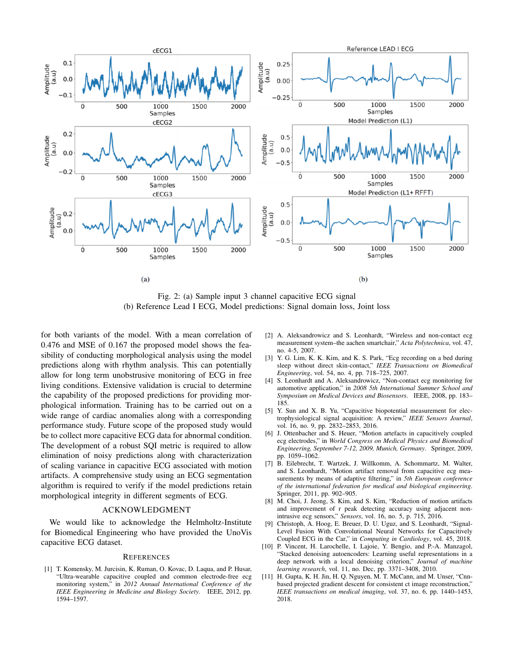<span id="page-4-11"></span>

Fig. 2: (a) Sample input 3 channel capacitive ECG signal (b) Reference Lead I ECG, Model predictions: Signal domain loss, Joint loss

for both variants of the model. With a mean correlation of 0.476 and MSE of 0.167 the proposed model shows the feasibility of conducting morphological analysis using the model predictions along with rhythm analysis. This can potentially allow for long term unobstrusive monitoring of ECG in free living conditions. Extensive validation is crucial to determine the capability of the proposed predictions for providing morphological information. Training has to be carried out on a wide range of cardiac anomalies along with a corresponding performance study. Future scope of the proposed study would be to collect more capacitive ECG data for abnormal condition. The development of a robust SQI metric is required to allow elimination of noisy predictions along with characterization of scaling variance in capacitive ECG associated with motion artifacts. A comprehensive study using an ECG segmentation algorithm is required to verify if the model predictions retain morphological integrity in different segments of ECG.

## ACKNOWLEDGMENT

We would like to acknowledge the Helmholtz-Institute for Biomedical Engineering who have provided the UnoVis capacitive ECG dataset.

#### **REFERENCES**

<span id="page-4-0"></span>[1] T. Komensky, M. Jurcisin, K. Ruman, O. Kovac, D. Laqua, and P. Husar, "Ultra-wearable capacitive coupled and common electrode-free ecg monitoring system," in *2012 Annual International Conference of the IEEE Engineering in Medicine and Biology Society*. IEEE, 2012, pp. 1594–1597.

- <span id="page-4-1"></span>[2] A. Aleksandrowicz and S. Leonhardt, "Wireless and non-contact ecg measurement system–the aachen smartchair," *Acta Polytechnica*, vol. 47, no. 4-5, 2007.
- <span id="page-4-2"></span>[3] Y. G. Lim, K. K. Kim, and K. S. Park, "Ecg recording on a bed during sleep without direct skin-contact," *IEEE Transactions on Biomedical Engineering*, vol. 54, no. 4, pp. 718–725, 2007.
- <span id="page-4-3"></span>[4] S. Leonhardt and A. Aleksandrowicz, "Non-contact ecg monitoring for automotive application," in *2008 5th International Summer School and Symposium on Medical Devices and Biosensors*. IEEE, 2008, pp. 183– 185.
- <span id="page-4-4"></span>[5] Y. Sun and X. B. Yu, "Capacitive biopotential measurement for electrophysiological signal acquisition: A review," *IEEE Sensors Journal*, vol. 16, no. 9, pp. 2832-2853, 2016.
- <span id="page-4-5"></span>[6] J. Ottenbacher and S. Heuer, "Motion artefacts in capacitively coupled ecg electrodes," in *World Congress on Medical Physics and Biomedical Engineering, September 7-12, 2009, Munich, Germany*. Springer, 2009, pp. 1059–1062.
- <span id="page-4-6"></span>[7] B. Eilebrecht, T. Wartzek, J. Willkomm, A. Schommartz, M. Walter, and S. Leonhardt, "Motion artifact removal from capacitive ecg measurements by means of adaptive filtering," in *5th European conference of the international federation for medical and biological engineering*. Springer, 2011, pp. 902–905.
- <span id="page-4-7"></span>[8] M. Choi, J. Jeong, S. Kim, and S. Kim, "Reduction of motion artifacts and improvement of r peak detecting accuracy using adjacent nonintrusive ecg sensors," *Sensors*, vol. 16, no. 5, p. 715, 2016.
- <span id="page-4-8"></span>[9] Christoph, A. Hoog, E. Breuer, D. U. Uguz, and S. Leonhardt, "Signal-Level Fusion With Convolutional Neural Networks for Capacitively Coupled ECG in the Car," in *Computing in Cardiology*, vol. 45, 2018.
- <span id="page-4-9"></span>[10] P. Vincent, H. Larochelle, I. Lajoie, Y. Bengio, and P.-A. Manzagol, "Stacked denoising autoencoders: Learning useful representations in a deep network with a local denoising criterion," *Journal of machine learning research*, vol. 11, no. Dec, pp. 3371–3408, 2010.
- <span id="page-4-10"></span>[11] H. Gupta, K. H. Jin, H. Q. Nguyen, M. T. McCann, and M. Unser, "Cnnbased projected gradient descent for consistent ct image reconstruction," *IEEE transactions on medical imaging*, vol. 37, no. 6, pp. 1440–1453, 2018.